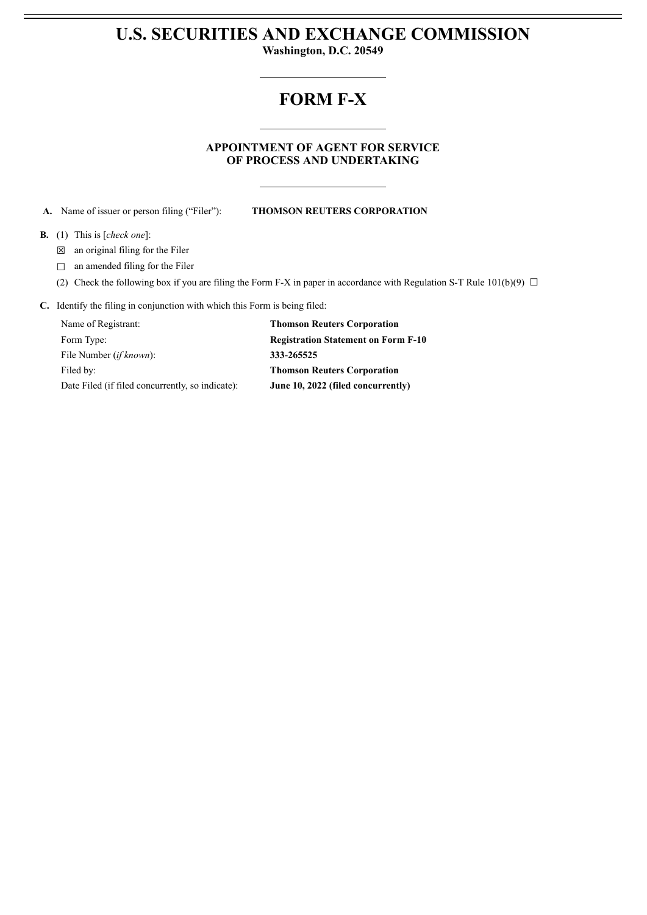# **U.S. SECURITIES AND EXCHANGE COMMISSION**

**Washington, D.C. 20549**

## **FORM F-X**

### **APPOINTMENT OF AGENT FOR SERVICE OF PROCESS AND UNDERTAKING**

**A.** Name of issuer or person filing ("Filer"): **THOMSON REUTERS CORPORATION**

#### **B.** (1) This is [*check one*]:

- ☒ an original filing for the Filer
- □ an amended filing for the Filer
- (2) Check the following box if you are filing the Form F-X in paper in accordance with Regulation S-T Rule 101(b)(9)  $\Box$

#### **C.** Identify the filing in conjunction with which this Form is being filed:

| Name of Registrant:                              | <b>Thomson Reuters Corporation</b>         |
|--------------------------------------------------|--------------------------------------------|
| Form Type:                                       | <b>Registration Statement on Form F-10</b> |
| File Number <i>(if known)</i> :                  | 333-265525                                 |
| Filed by:                                        | <b>Thomson Reuters Corporation</b>         |
| Date Filed (if filed concurrently, so indicate): | June 10, 2022 (filed concurrently)         |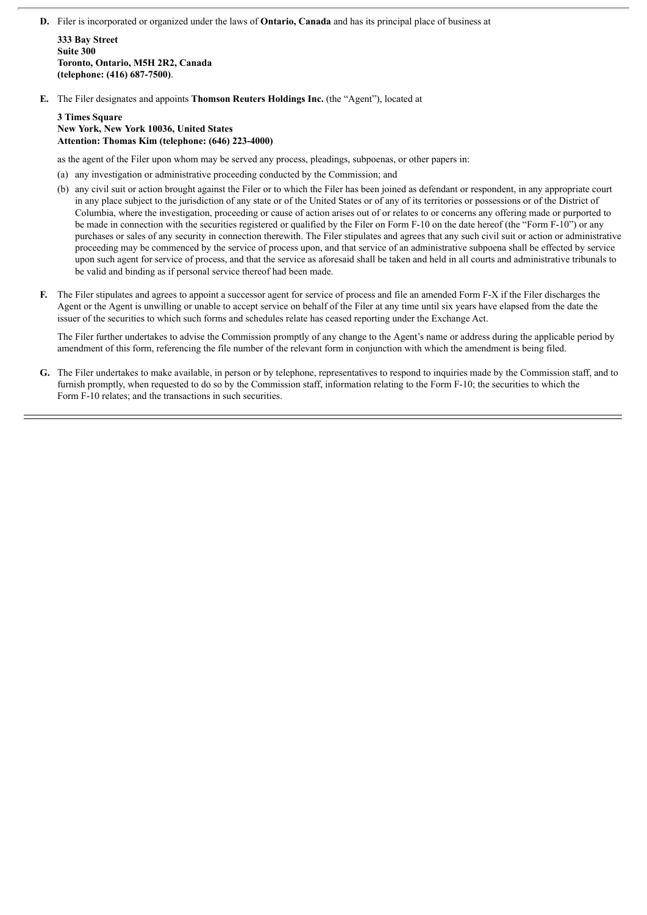**D.** Filer is incorporated or organized under the laws of **Ontario, Canada** and has its principal place of business at

**333 Bay Street Suite 300 Toronto, Ontario, M5H 2R2, Canada (telephone: (416) 687-7500)**.

**E.** The Filer designates and appoints **Thomson Reuters Holdings Inc.** (the "Agent"), located at

#### **3 Times Square New York, New York 10036, United States Attention: Thomas Kim (telephone: (646) 223-4000)**

as the agent of the Filer upon whom may be served any process, pleadings, subpoenas, or other papers in:

- (a) any investigation or administrative proceeding conducted by the Commission; and
- (b) any civil suit or action brought against the Filer or to which the Filer has been joined as defendant or respondent, in any appropriate court in any place subject to the jurisdiction of any state or of the United States or of any of its territories or possessions or of the District of Columbia, where the investigation, proceeding or cause of action arises out of or relates to or concerns any offering made or purported to be made in connection with the securities registered or qualified by the Filer on Form F-10 on the date hereof (the "Form F-10") or any purchases or sales of any security in connection therewith. The Filer stipulates and agrees that any such civil suit or action or administrative proceeding may be commenced by the service of process upon, and that service of an administrative subpoena shall be effected by service upon such agent for service of process, and that the service as aforesaid shall be taken and held in all courts and administrative tribunals to be valid and binding as if personal service thereof had been made.
- **F.** The Filer stipulates and agrees to appoint a successor agent for service of process and file an amended Form F-X if the Filer discharges the Agent or the Agent is unwilling or unable to accept service on behalf of the Filer at any time until six years have elapsed from the date the issuer of the securities to which such forms and schedules relate has ceased reporting under the Exchange Act.

The Filer further undertakes to advise the Commission promptly of any change to the Agent's name or address during the applicable period by amendment of this form, referencing the file number of the relevant form in conjunction with which the amendment is being filed.

**G.** The Filer undertakes to make available, in person or by telephone, representatives to respond to inquiries made by the Commission staff, and to furnish promptly, when requested to do so by the Commission staff, information relating to the Form F-10; the securities to which the Form F-10 relates; and the transactions in such securities.